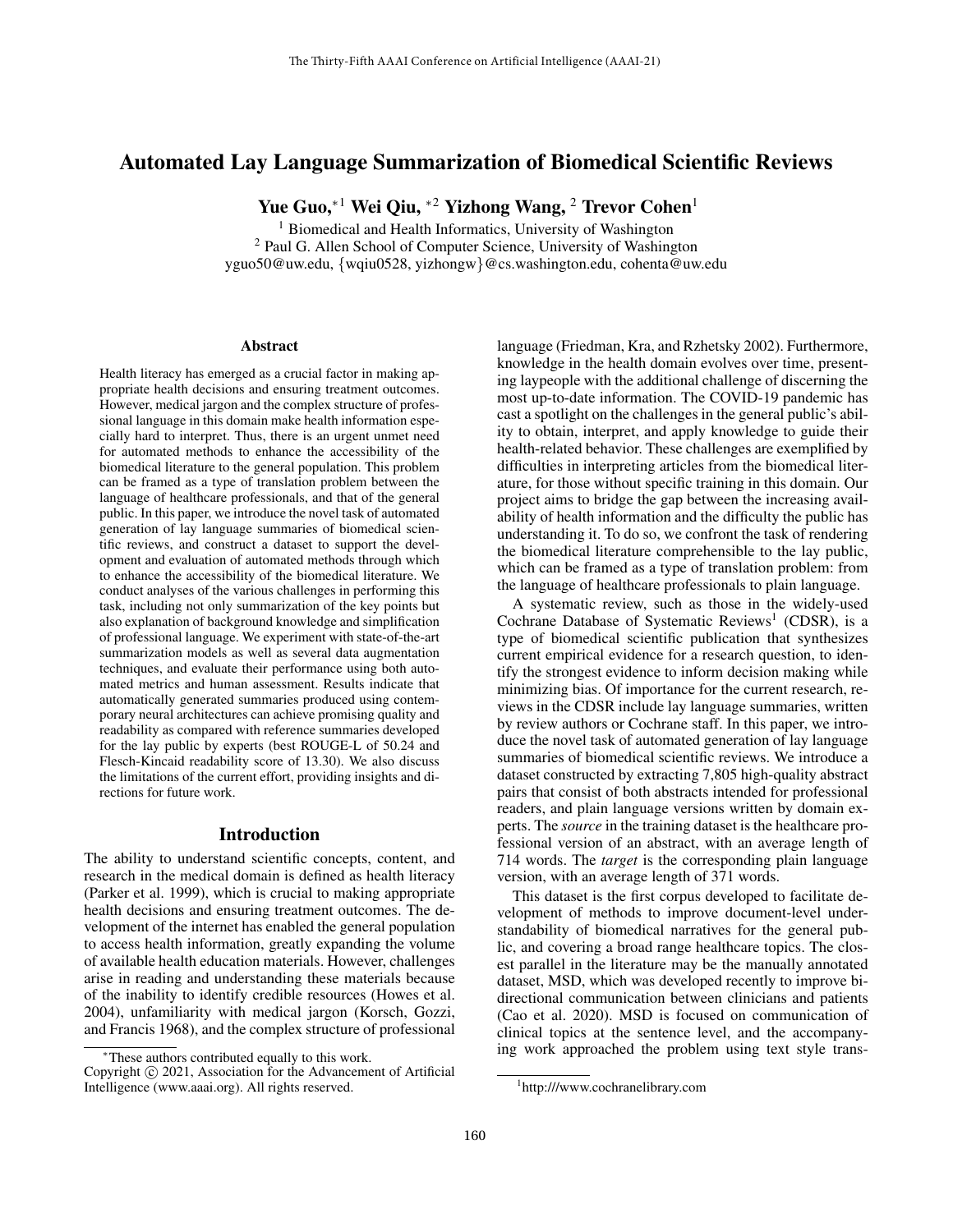# Automated Lay Language Summarization of Biomedical Scientific Reviews

Yue Guo,<sup>∗1</sup> Wei Qiu, <sup>∗2</sup> Yizhong Wang, <sup>2</sup> Trevor Cohen<sup>1</sup>

<sup>1</sup> Biomedical and Health Informatics, University of Washington <sup>2</sup> Paul G. Allen School of Computer Science, University of Washington yguo50@uw.edu, {wqiu0528, yizhongw}@cs.washington.edu, cohenta@uw.edu

#### Abstract

Health literacy has emerged as a crucial factor in making appropriate health decisions and ensuring treatment outcomes. However, medical jargon and the complex structure of professional language in this domain make health information especially hard to interpret. Thus, there is an urgent unmet need for automated methods to enhance the accessibility of the biomedical literature to the general population. This problem can be framed as a type of translation problem between the language of healthcare professionals, and that of the general public. In this paper, we introduce the novel task of automated generation of lay language summaries of biomedical scientific reviews, and construct a dataset to support the development and evaluation of automated methods through which to enhance the accessibility of the biomedical literature. We conduct analyses of the various challenges in performing this task, including not only summarization of the key points but also explanation of background knowledge and simplification of professional language. We experiment with state-of-the-art summarization models as well as several data augmentation techniques, and evaluate their performance using both automated metrics and human assessment. Results indicate that automatically generated summaries produced using contemporary neural architectures can achieve promising quality and readability as compared with reference summaries developed for the lay public by experts (best ROUGE-L of 50.24 and Flesch-Kincaid readability score of 13.30). We also discuss the limitations of the current effort, providing insights and directions for future work.

#### Introduction

The ability to understand scientific concepts, content, and research in the medical domain is defined as health literacy (Parker et al. 1999), which is crucial to making appropriate health decisions and ensuring treatment outcomes. The development of the internet has enabled the general population to access health information, greatly expanding the volume of available health education materials. However, challenges arise in reading and understanding these materials because of the inability to identify credible resources (Howes et al. 2004), unfamiliarity with medical jargon (Korsch, Gozzi, and Francis 1968), and the complex structure of professional

language (Friedman, Kra, and Rzhetsky 2002). Furthermore, knowledge in the health domain evolves over time, presenting laypeople with the additional challenge of discerning the most up-to-date information. The COVID-19 pandemic has cast a spotlight on the challenges in the general public's ability to obtain, interpret, and apply knowledge to guide their health-related behavior. These challenges are exemplified by difficulties in interpreting articles from the biomedical literature, for those without specific training in this domain. Our project aims to bridge the gap between the increasing availability of health information and the difficulty the public has understanding it. To do so, we confront the task of rendering the biomedical literature comprehensible to the lay public, which can be framed as a type of translation problem: from the language of healthcare professionals to plain language.

A systematic review, such as those in the widely-used Cochrane Database of Systematic Reviews<sup>1</sup> (CDSR), is a type of biomedical scientific publication that synthesizes current empirical evidence for a research question, to identify the strongest evidence to inform decision making while minimizing bias. Of importance for the current research, reviews in the CDSR include lay language summaries, written by review authors or Cochrane staff. In this paper, we introduce the novel task of automated generation of lay language summaries of biomedical scientific reviews. We introduce a dataset constructed by extracting 7,805 high-quality abstract pairs that consist of both abstracts intended for professional readers, and plain language versions written by domain experts. The *source* in the training dataset is the healthcare professional version of an abstract, with an average length of 714 words. The *target* is the corresponding plain language version, with an average length of 371 words.

This dataset is the first corpus developed to facilitate development of methods to improve document-level understandability of biomedical narratives for the general public, and covering a broad range healthcare topics. The closest parallel in the literature may be the manually annotated dataset, MSD, which was developed recently to improve bidirectional communication between clinicians and patients (Cao et al. 2020). MSD is focused on communication of clinical topics at the sentence level, and the accompanying work approached the problem using text style trans-

<sup>∗</sup>These authors contributed equally to this work.

Copyright © 2021, Association for the Advancement of Artificial Intelligence (www.aaai.org). All rights reserved.

<sup>1</sup> http:///www.cochranelibrary.com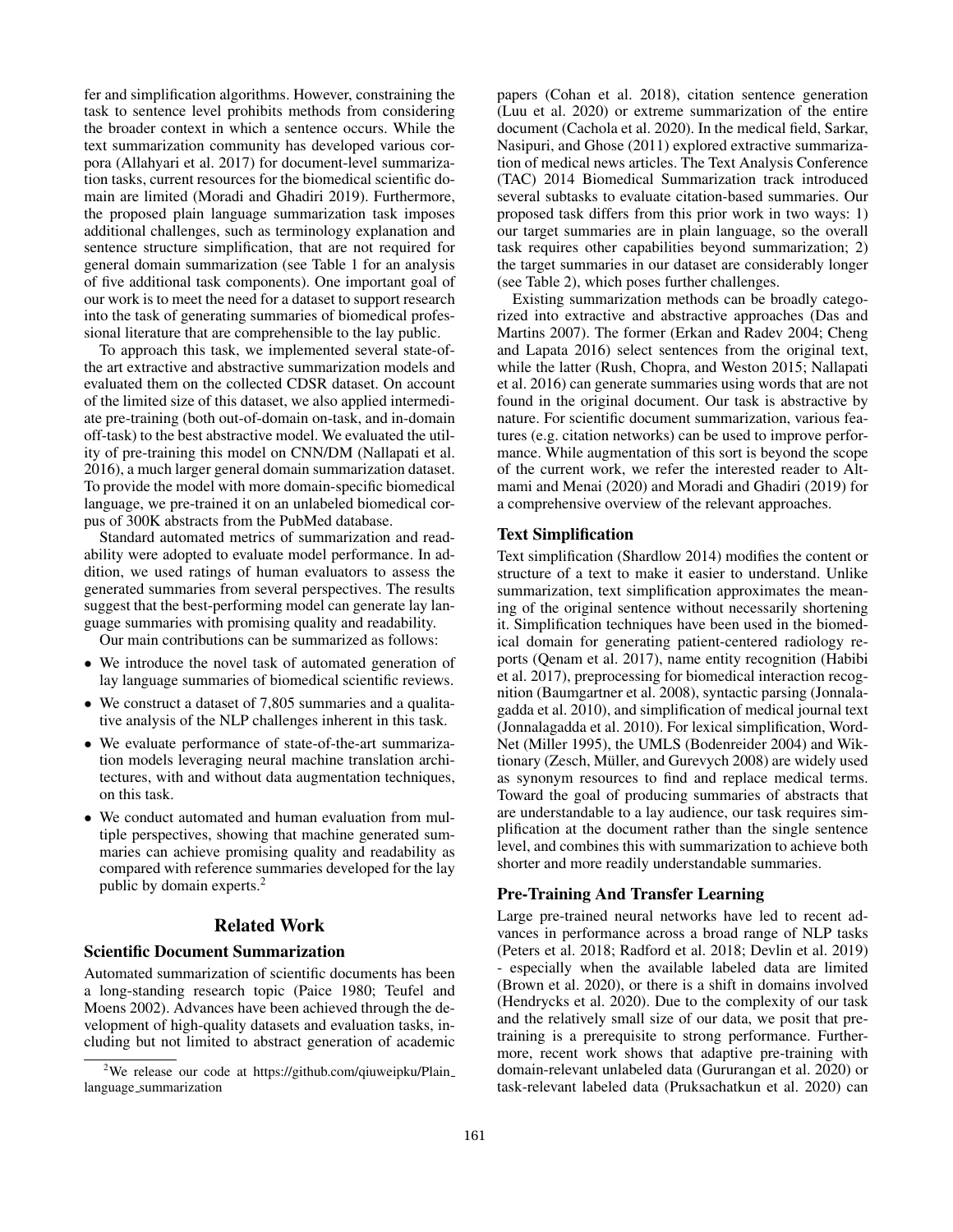fer and simplification algorithms. However, constraining the task to sentence level prohibits methods from considering the broader context in which a sentence occurs. While the text summarization community has developed various corpora (Allahyari et al. 2017) for document-level summarization tasks, current resources for the biomedical scientific domain are limited (Moradi and Ghadiri 2019). Furthermore, the proposed plain language summarization task imposes additional challenges, such as terminology explanation and sentence structure simplification, that are not required for general domain summarization (see Table 1 for an analysis of five additional task components). One important goal of our work is to meet the need for a dataset to support research into the task of generating summaries of biomedical professional literature that are comprehensible to the lay public.

To approach this task, we implemented several state-ofthe art extractive and abstractive summarization models and evaluated them on the collected CDSR dataset. On account of the limited size of this dataset, we also applied intermediate pre-training (both out-of-domain on-task, and in-domain off-task) to the best abstractive model. We evaluated the utility of pre-training this model on CNN/DM (Nallapati et al. 2016), a much larger general domain summarization dataset. To provide the model with more domain-specific biomedical language, we pre-trained it on an unlabeled biomedical corpus of 300K abstracts from the PubMed database.

Standard automated metrics of summarization and readability were adopted to evaluate model performance. In addition, we used ratings of human evaluators to assess the generated summaries from several perspectives. The results suggest that the best-performing model can generate lay language summaries with promising quality and readability.

Our main contributions can be summarized as follows:

- We introduce the novel task of automated generation of lay language summaries of biomedical scientific reviews.
- We construct a dataset of 7,805 summaries and a qualitative analysis of the NLP challenges inherent in this task.
- We evaluate performance of state-of-the-art summarization models leveraging neural machine translation architectures, with and without data augmentation techniques, on this task.
- We conduct automated and human evaluation from multiple perspectives, showing that machine generated summaries can achieve promising quality and readability as compared with reference summaries developed for the lay public by domain experts.<sup>2</sup>

## Related Work

#### Scientific Document Summarization

Automated summarization of scientific documents has been a long-standing research topic (Paice 1980; Teufel and Moens 2002). Advances have been achieved through the development of high-quality datasets and evaluation tasks, including but not limited to abstract generation of academic

papers (Cohan et al. 2018), citation sentence generation (Luu et al. 2020) or extreme summarization of the entire document (Cachola et al. 2020). In the medical field, Sarkar, Nasipuri, and Ghose (2011) explored extractive summarization of medical news articles. The Text Analysis Conference (TAC) 2014 Biomedical Summarization track introduced several subtasks to evaluate citation-based summaries. Our proposed task differs from this prior work in two ways: 1) our target summaries are in plain language, so the overall task requires other capabilities beyond summarization; 2) the target summaries in our dataset are considerably longer (see Table 2), which poses further challenges.

Existing summarization methods can be broadly categorized into extractive and abstractive approaches (Das and Martins 2007). The former (Erkan and Radev 2004; Cheng and Lapata 2016) select sentences from the original text, while the latter (Rush, Chopra, and Weston 2015; Nallapati et al. 2016) can generate summaries using words that are not found in the original document. Our task is abstractive by nature. For scientific document summarization, various features (e.g. citation networks) can be used to improve performance. While augmentation of this sort is beyond the scope of the current work, we refer the interested reader to Altmami and Menai (2020) and Moradi and Ghadiri (2019) for a comprehensive overview of the relevant approaches.

### Text Simplification

Text simplification (Shardlow 2014) modifies the content or structure of a text to make it easier to understand. Unlike summarization, text simplification approximates the meaning of the original sentence without necessarily shortening it. Simplification techniques have been used in the biomedical domain for generating patient-centered radiology reports (Qenam et al. 2017), name entity recognition (Habibi et al. 2017), preprocessing for biomedical interaction recognition (Baumgartner et al. 2008), syntactic parsing (Jonnalagadda et al. 2010), and simplification of medical journal text (Jonnalagadda et al. 2010). For lexical simplification, Word-Net (Miller 1995), the UMLS (Bodenreider 2004) and Wiktionary (Zesch, Müller, and Gurevych 2008) are widely used as synonym resources to find and replace medical terms. Toward the goal of producing summaries of abstracts that are understandable to a lay audience, our task requires simplification at the document rather than the single sentence level, and combines this with summarization to achieve both shorter and more readily understandable summaries.

#### Pre-Training And Transfer Learning

Large pre-trained neural networks have led to recent advances in performance across a broad range of NLP tasks (Peters et al. 2018; Radford et al. 2018; Devlin et al. 2019) - especially when the available labeled data are limited (Brown et al. 2020), or there is a shift in domains involved (Hendrycks et al. 2020). Due to the complexity of our task and the relatively small size of our data, we posit that pretraining is a prerequisite to strong performance. Furthermore, recent work shows that adaptive pre-training with domain-relevant unlabeled data (Gururangan et al. 2020) or task-relevant labeled data (Pruksachatkun et al. 2020) can

<sup>&</sup>lt;sup>2</sup>We release our code at https://github.com/qiuweipku/Plain\_ language summarization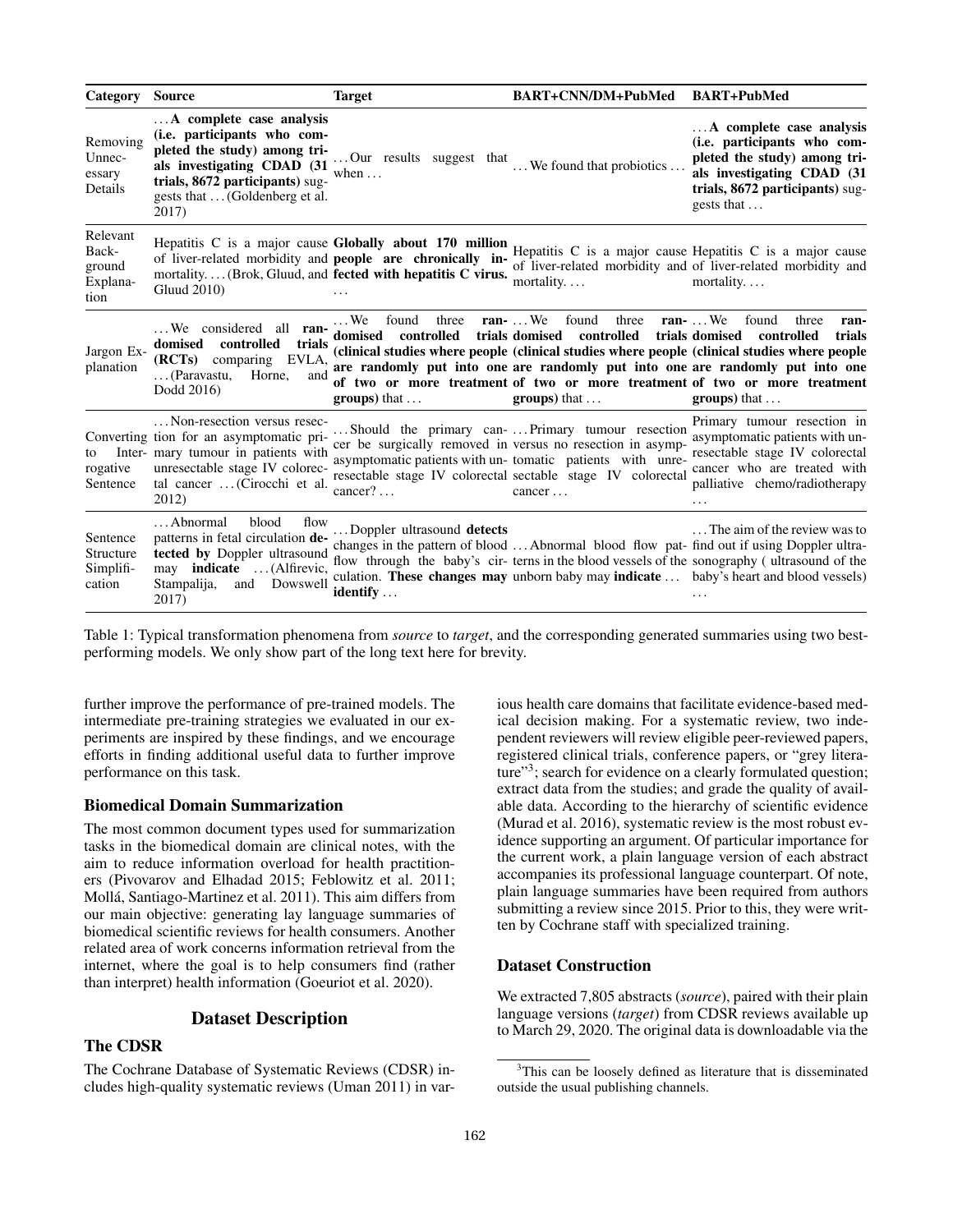| Category Source                                 |                                                                                                                                                                                                     | <b>Target</b>                                                                                                                                                                      | BART+CNN/DM+PubMed                                                                                                                                                                                                                                   | <b>BART+PubMed</b>                                                                                                                                                                                                                                                                                                                                            |
|-------------------------------------------------|-----------------------------------------------------------------------------------------------------------------------------------------------------------------------------------------------------|------------------------------------------------------------------------------------------------------------------------------------------------------------------------------------|------------------------------------------------------------------------------------------------------------------------------------------------------------------------------------------------------------------------------------------------------|---------------------------------------------------------------------------------------------------------------------------------------------------------------------------------------------------------------------------------------------------------------------------------------------------------------------------------------------------------------|
| Removing<br>Unnec-<br>essary<br>Details         | A complete case analysis<br>(i.e. participants who com-<br>pleted the study) among tri-<br>als investigating CDAD (31<br>trials, 8672 participants) sug-<br>gests that  (Goldenberg et al.<br>2017) | Our results suggest that<br>when $\dots$                                                                                                                                           | We found that probiotics                                                                                                                                                                                                                             | A complete case analysis<br>(i.e. participants who com-<br>pleted the study) among tri-<br>als investigating CDAD (31<br>trials, 8672 participants) sug-<br>gests that                                                                                                                                                                                        |
| Relevant<br>Back-<br>ground<br>Explana-<br>tion | Gluud 2010)                                                                                                                                                                                         | Hepatitis C is a major cause Globally about 170 million<br>of liver-related morbidity and people are chronically in-<br>mortality (Brok, Gluud, and fected with hepatitis C virus. | mortality                                                                                                                                                                                                                                            | Hepatitis C is a major cause Hepatitis C is a major cause<br>of liver-related morbidity and of liver-related morbidity and<br>mortality                                                                                                                                                                                                                       |
| Jargon Ex-<br>planation                         | We considered all ran-<br>controlled<br>domised<br>trials<br>(RCTs) comparing EVLA,<br>(Paravastu,<br>Horne,<br>and<br>Dodd 2016)                                                                   | $\ldots$ We found<br>domised controlled trials domised controlled<br>$groups)$ that $\dots$                                                                                        | three ran-We found<br>three<br>$groups)$ that $\dots$                                                                                                                                                                                                | ran-We found<br>three<br>ran-<br>trials domised controlled<br>trials<br>(clinical studies where people (clinical studies where people (clinical studies where people<br>are randomly put into one are randomly put into one are randomly put into one<br>of two or more treatment of two or more treatment of two or more treatment<br>$groups)$ that $\dots$ |
| to<br>rogative<br>Sentence                      | Non-resection versus resec-<br>Converting tion for an asymptomatic pri-<br>Inter- mary tumour in patients with<br>unresectable stage IV colorec-<br>tal cancer  (Cirocchi et al.<br>2012)           | cancer?                                                                                                                                                                            | Should the primary can- Primary tumour resection<br>cer be surgically removed in versus no resection in asymp-<br>asymptomatic patients with un-tomatic patients with unre-<br>resectable stage IV colorectal sectable stage IV colorectal<br>cancer | Primary tumour resection in<br>asymptomatic patients with un-<br>resectable stage IV colorectal<br>cancer who are treated with<br>palliative chemo/radiotherapy                                                                                                                                                                                               |
| Sentence<br>Structure<br>Simplifi-<br>cation    | Abnormal<br><b>blood</b><br>flow<br>patterns in fetal circulation de-<br>tected by Doppler ultrasound<br>may <b>indicate</b> (Alfirevic,<br>Stampalija,<br>Dowswell<br>and<br>2017)                 | Doppler ultrasound detects<br>identify                                                                                                                                             | changes in the pattern of blood  Abnormal blood flow pat- find out if using Doppler ultra-                                                                                                                                                           | The aim of the review was to<br>flow through the baby's cir- terms in the blood vessels of the sonography (ultrasound of the<br>culation. These changes may unborn baby may indicate  baby's heart and blood vessels)                                                                                                                                         |

Table 1: Typical transformation phenomena from *source* to *target*, and the corresponding generated summaries using two bestperforming models. We only show part of the long text here for brevity.

further improve the performance of pre-trained models. The intermediate pre-training strategies we evaluated in our experiments are inspired by these findings, and we encourage efforts in finding additional useful data to further improve performance on this task.

### Biomedical Domain Summarization

The most common document types used for summarization tasks in the biomedical domain are clinical notes, with the aim to reduce information overload for health practitioners (Pivovarov and Elhadad 2015; Feblowitz et al. 2011; Molla, Santiago-Martinez et al. 2011). This aim differs from ´ our main objective: generating lay language summaries of biomedical scientific reviews for health consumers. Another related area of work concerns information retrieval from the internet, where the goal is to help consumers find (rather than interpret) health information (Goeuriot et al. 2020).

### Dataset Description

### The CDSR

The Cochrane Database of Systematic Reviews (CDSR) includes high-quality systematic reviews (Uman 2011) in various health care domains that facilitate evidence-based medical decision making. For a systematic review, two independent reviewers will review eligible peer-reviewed papers, registered clinical trials, conference papers, or "grey literature"<sup>3</sup>; search for evidence on a clearly formulated question; extract data from the studies; and grade the quality of available data. According to the hierarchy of scientific evidence (Murad et al. 2016), systematic review is the most robust evidence supporting an argument. Of particular importance for the current work, a plain language version of each abstract accompanies its professional language counterpart. Of note, plain language summaries have been required from authors submitting a review since 2015. Prior to this, they were written by Cochrane staff with specialized training.

### Dataset Construction

We extracted 7,805 abstracts (*source*), paired with their plain language versions (*target*) from CDSR reviews available up to March 29, 2020. The original data is downloadable via the

<sup>&</sup>lt;sup>3</sup>This can be loosely defined as literature that is disseminated outside the usual publishing channels.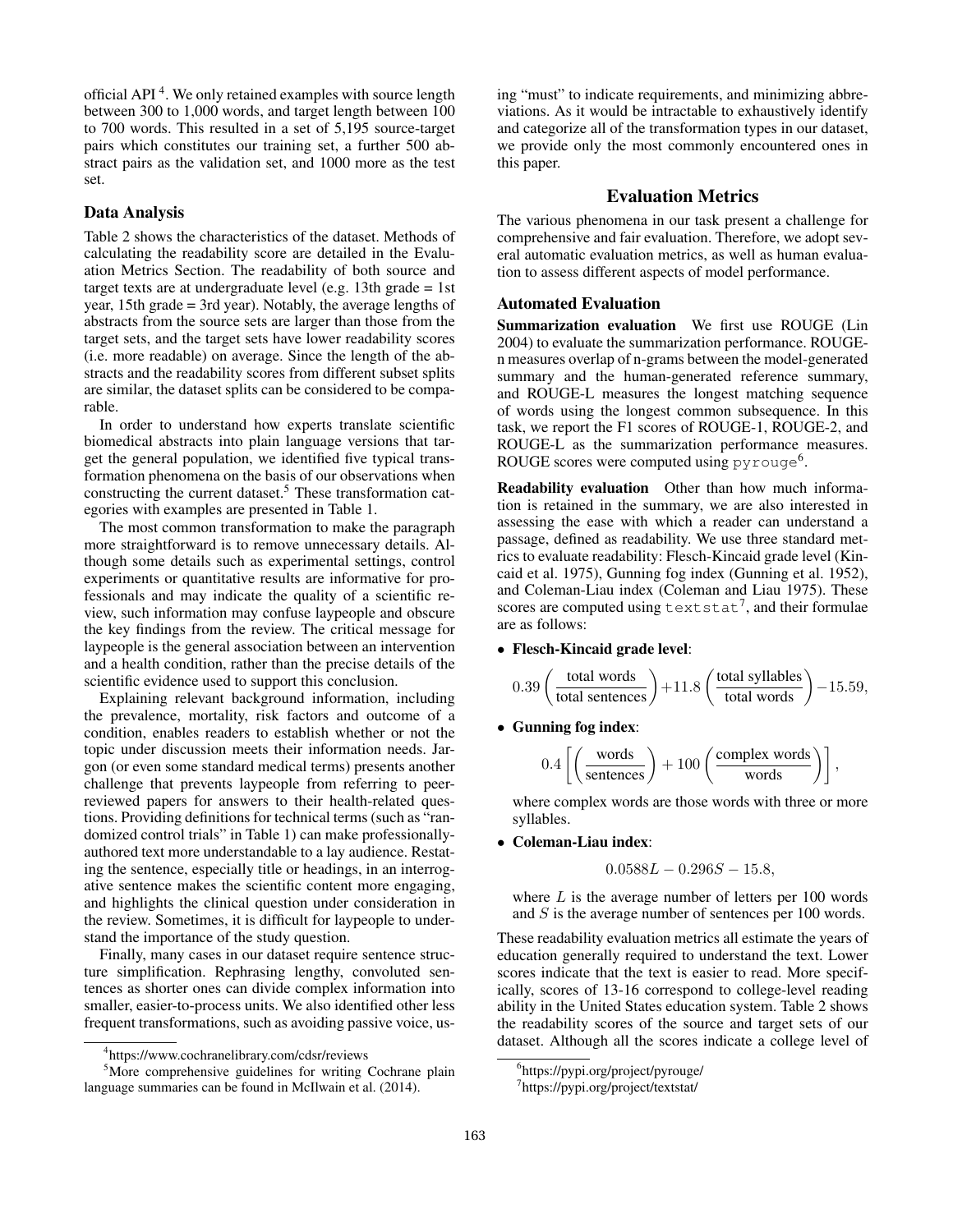official API<sup>4</sup>. We only retained examples with source length between 300 to 1,000 words, and target length between 100 to 700 words. This resulted in a set of 5,195 source-target pairs which constitutes our training set, a further 500 abstract pairs as the validation set, and 1000 more as the test set.

### Data Analysis

Table 2 shows the characteristics of the dataset. Methods of calculating the readability score are detailed in the Evaluation Metrics Section. The readability of both source and target texts are at undergraduate level (e.g. 13th grade = 1st year, 15th grade = 3rd year). Notably, the average lengths of abstracts from the source sets are larger than those from the target sets, and the target sets have lower readability scores (i.e. more readable) on average. Since the length of the abstracts and the readability scores from different subset splits are similar, the dataset splits can be considered to be comparable.

In order to understand how experts translate scientific biomedical abstracts into plain language versions that target the general population, we identified five typical transformation phenomena on the basis of our observations when constructing the current dataset.<sup>5</sup> These transformation categories with examples are presented in Table 1.

The most common transformation to make the paragraph more straightforward is to remove unnecessary details. Although some details such as experimental settings, control experiments or quantitative results are informative for professionals and may indicate the quality of a scientific review, such information may confuse laypeople and obscure the key findings from the review. The critical message for laypeople is the general association between an intervention and a health condition, rather than the precise details of the scientific evidence used to support this conclusion.

Explaining relevant background information, including the prevalence, mortality, risk factors and outcome of a condition, enables readers to establish whether or not the topic under discussion meets their information needs. Jargon (or even some standard medical terms) presents another challenge that prevents laypeople from referring to peerreviewed papers for answers to their health-related questions. Providing definitions for technical terms (such as "randomized control trials" in Table 1) can make professionallyauthored text more understandable to a lay audience. Restating the sentence, especially title or headings, in an interrogative sentence makes the scientific content more engaging, and highlights the clinical question under consideration in the review. Sometimes, it is difficult for laypeople to understand the importance of the study question.

Finally, many cases in our dataset require sentence structure simplification. Rephrasing lengthy, convoluted sentences as shorter ones can divide complex information into smaller, easier-to-process units. We also identified other less frequent transformations, such as avoiding passive voice, using "must" to indicate requirements, and minimizing abbreviations. As it would be intractable to exhaustively identify and categorize all of the transformation types in our dataset, we provide only the most commonly encountered ones in this paper.

### Evaluation Metrics

The various phenomena in our task present a challenge for comprehensive and fair evaluation. Therefore, we adopt several automatic evaluation metrics, as well as human evaluation to assess different aspects of model performance.

### Automated Evaluation

Summarization evaluation We first use ROUGE (Lin 2004) to evaluate the summarization performance. ROUGEn measures overlap of n-grams between the model-generated summary and the human-generated reference summary, and ROUGE-L measures the longest matching sequence of words using the longest common subsequence. In this task, we report the F1 scores of ROUGE-1, ROUGE-2, and ROUGE-L as the summarization performance measures. ROUGE scores were computed using  $py$ rouge<sup>6</sup>.

Readability evaluation Other than how much information is retained in the summary, we are also interested in assessing the ease with which a reader can understand a passage, defined as readability. We use three standard metrics to evaluate readability: Flesch-Kincaid grade level (Kincaid et al. 1975), Gunning fog index (Gunning et al. 1952), and Coleman-Liau index (Coleman and Liau 1975). These scores are computed using  $texttext{text}^7$ , and their formulae are as follows:

#### • Flesch-Kincaid grade level:

$$
0.39 \left(\frac{\text{total words}}{\text{total sentences}}\right) + 11.8 \left(\frac{\text{total syllables}}{\text{total words}}\right) - 15.59,
$$

• Gunning fog index:

$$
0.4 \left[ \left( \frac{\text{words}}{\text{sentences}} \right) + 100 \left( \frac{\text{complex words}}{\text{words}} \right) \right],
$$

where complex words are those words with three or more syllables.

• Coleman-Liau index:

$$
0.0588L - 0.296S - 15.8,
$$

where  $L$  is the average number of letters per 100 words and S is the average number of sentences per 100 words.

These readability evaluation metrics all estimate the years of education generally required to understand the text. Lower scores indicate that the text is easier to read. More specifically, scores of 13-16 correspond to college-level reading ability in the United States education system. Table 2 shows the readability scores of the source and target sets of our dataset. Although all the scores indicate a college level of

<sup>4</sup> https://www.cochranelibrary.com/cdsr/reviews

<sup>&</sup>lt;sup>5</sup>More comprehensive guidelines for writing Cochrane plain language summaries can be found in McIlwain et al. (2014).

<sup>6</sup> https://pypi.org/project/pyrouge/

<sup>7</sup> https://pypi.org/project/textstat/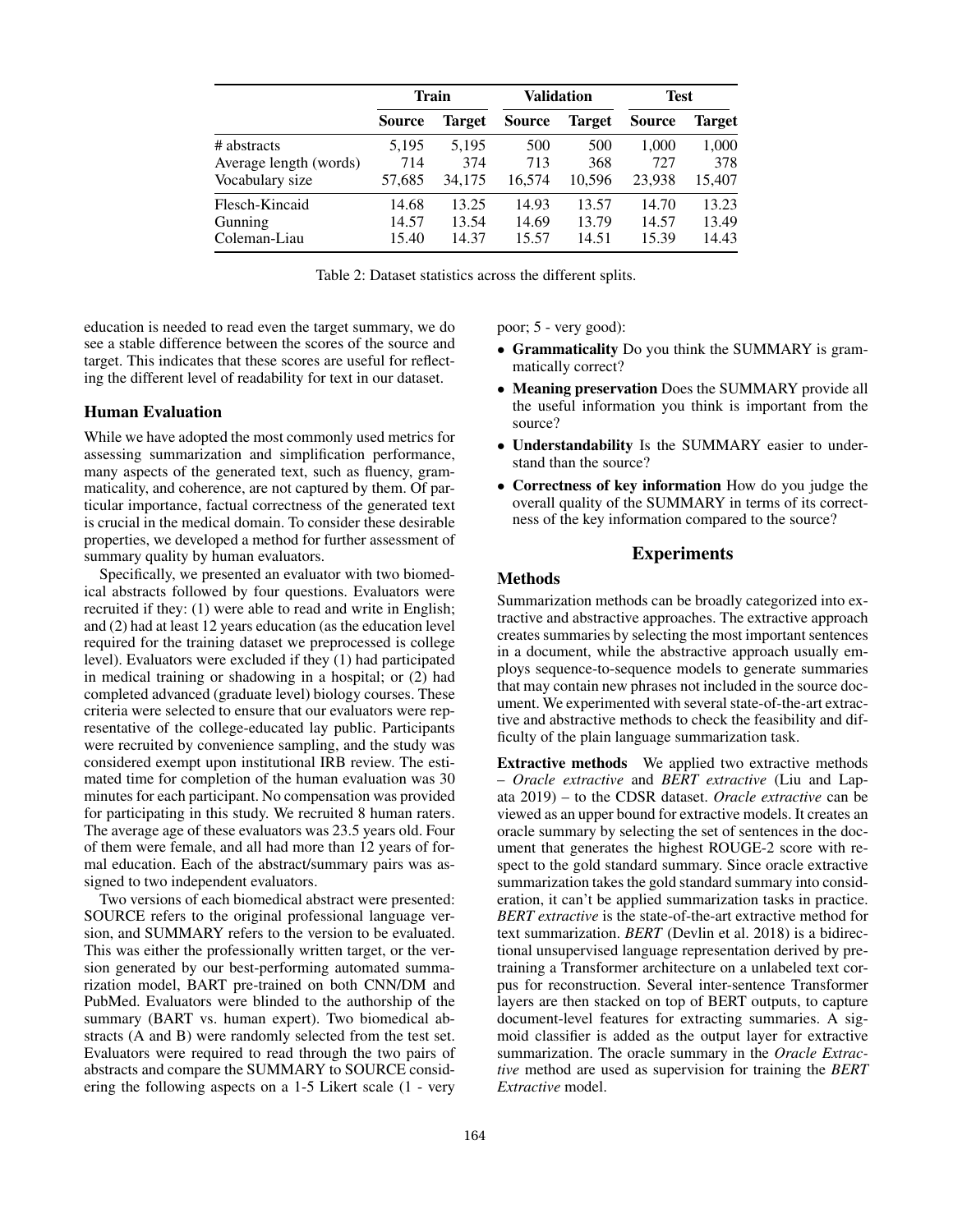|                        | <b>Train</b>  |               | <b>Validation</b> |               | <b>Test</b>   |        |
|------------------------|---------------|---------------|-------------------|---------------|---------------|--------|
|                        | <b>Source</b> | <b>Target</b> | <b>Source</b>     | <b>Target</b> | <b>Source</b> | Target |
| # abstracts            | 5,195         | 5,195         | 500               | 500           | 1,000         | 1,000  |
| Average length (words) | 714           | 374           | 713               | 368           | 727           | 378    |
| Vocabulary size        | 57,685        | 34.175        | 16,574            | 10.596        | 23,938        | 15,407 |
| Flesch-Kincaid         | 14.68         | 13.25         | 14.93             | 13.57         | 14.70         | 13.23  |
| Gunning                | 14.57         | 13.54         | 14.69             | 13.79         | 14.57         | 13.49  |
| Coleman-Liau           | 15.40         | 14.37         | 15.57             | 14.51         | 15.39         | 14.43  |

Table 2: Dataset statistics across the different splits.

education is needed to read even the target summary, we do see a stable difference between the scores of the source and target. This indicates that these scores are useful for reflecting the different level of readability for text in our dataset.

### Human Evaluation

While we have adopted the most commonly used metrics for assessing summarization and simplification performance, many aspects of the generated text, such as fluency, grammaticality, and coherence, are not captured by them. Of particular importance, factual correctness of the generated text is crucial in the medical domain. To consider these desirable properties, we developed a method for further assessment of summary quality by human evaluators.

Specifically, we presented an evaluator with two biomedical abstracts followed by four questions. Evaluators were recruited if they: (1) were able to read and write in English; and (2) had at least 12 years education (as the education level required for the training dataset we preprocessed is college level). Evaluators were excluded if they (1) had participated in medical training or shadowing in a hospital; or (2) had completed advanced (graduate level) biology courses. These criteria were selected to ensure that our evaluators were representative of the college-educated lay public. Participants were recruited by convenience sampling, and the study was considered exempt upon institutional IRB review. The estimated time for completion of the human evaluation was 30 minutes for each participant. No compensation was provided for participating in this study. We recruited 8 human raters. The average age of these evaluators was 23.5 years old. Four of them were female, and all had more than 12 years of formal education. Each of the abstract/summary pairs was assigned to two independent evaluators.

Two versions of each biomedical abstract were presented: SOURCE refers to the original professional language version, and SUMMARY refers to the version to be evaluated. This was either the professionally written target, or the version generated by our best-performing automated summarization model, BART pre-trained on both CNN/DM and PubMed. Evaluators were blinded to the authorship of the summary (BART vs. human expert). Two biomedical abstracts (A and B) were randomly selected from the test set. Evaluators were required to read through the two pairs of abstracts and compare the SUMMARY to SOURCE considering the following aspects on a 1-5 Likert scale (1 - very poor; 5 - very good):

- Grammaticality Do you think the SUMMARY is grammatically correct?
- Meaning preservation Does the SUMMARY provide all the useful information you think is important from the source?
- Understandability Is the SUMMARY easier to understand than the source?
- Correctness of key information How do you judge the overall quality of the SUMMARY in terms of its correctness of the key information compared to the source?

### Experiments

### Methods

Summarization methods can be broadly categorized into extractive and abstractive approaches. The extractive approach creates summaries by selecting the most important sentences in a document, while the abstractive approach usually employs sequence-to-sequence models to generate summaries that may contain new phrases not included in the source document. We experimented with several state-of-the-art extractive and abstractive methods to check the feasibility and difficulty of the plain language summarization task.

Extractive methods We applied two extractive methods – *Oracle extractive* and *BERT extractive* (Liu and Lapata 2019) – to the CDSR dataset. *Oracle extractive* can be viewed as an upper bound for extractive models. It creates an oracle summary by selecting the set of sentences in the document that generates the highest ROUGE-2 score with respect to the gold standard summary. Since oracle extractive summarization takes the gold standard summary into consideration, it can't be applied summarization tasks in practice. *BERT extractive* is the state-of-the-art extractive method for text summarization. *BERT* (Devlin et al. 2018) is a bidirectional unsupervised language representation derived by pretraining a Transformer architecture on a unlabeled text corpus for reconstruction. Several inter-sentence Transformer layers are then stacked on top of BERT outputs, to capture document-level features for extracting summaries. A sigmoid classifier is added as the output layer for extractive summarization. The oracle summary in the *Oracle Extractive* method are used as supervision for training the *BERT Extractive* model.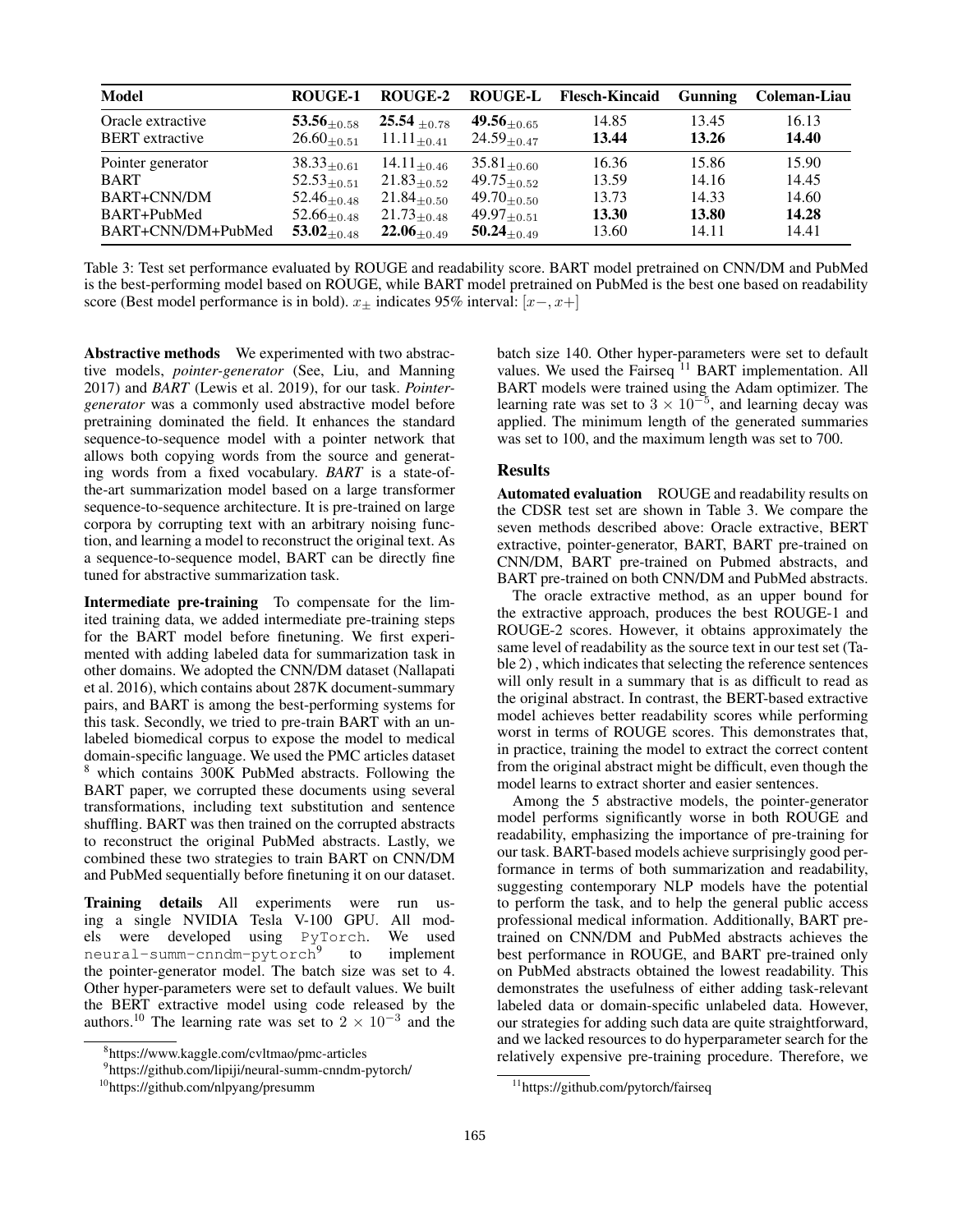| <b>Model</b>                                | ROUGE-1                            | ROUGE-2                           | <b>ROUGE-L</b>                     | <b>Flesch-Kincaid</b> | <b>Gunning</b> | Coleman-Liau   |
|---------------------------------------------|------------------------------------|-----------------------------------|------------------------------------|-----------------------|----------------|----------------|
| Oracle extractive<br><b>BERT</b> extractive | $53.56_{+0.58}$<br>$26.60_{+0.51}$ | $25.54 + 0.78$<br>$11.11_{+0.41}$ | $49.56_{+0.65}$<br>$24.59_{+0.47}$ | 14.85<br>13.44        | 13.45<br>13.26 | 16.13<br>14.40 |
| Pointer generator                           | $38.33_{+0.61}$                    | $14.11_{\pm 0.46}$                | $35.81_{+0.60}$                    | 16.36                 | 15.86          | 15.90          |
| <b>BART</b>                                 | $52.53_{+0.51}$                    | $21.83_{+0.52}$                   | $49.75_{+0.52}$                    | 13.59                 | 14.16          | 14.45          |
| BART+CNN/DM                                 | $52.46_{+0.48}$                    | $21.84_{+0.50}$                   | $49.70_{+0.50}$                    | 13.73                 | 14.33          | 14.60          |
| BART+PubMed                                 | $52.66_{+0.48}$                    | $21.73_{+0.48}$                   | $49.97_{\pm 0.51}$                 | 13.30                 | 13.80          | 14.28          |
| BART+CNN/DM+PubMed                          | $53.02_{+0.48}$                    | $22.06_{+0.49}$                   | $50.24_{+0.49}$                    | 13.60                 | 14.11          | 14.41          |

Table 3: Test set performance evaluated by ROUGE and readability score. BART model pretrained on CNN/DM and PubMed is the best-performing model based on ROUGE, while BART model pretrained on PubMed is the best one based on readability score (Best model performance is in bold).  $x_{\pm}$  indicates 95% interval: [ $x-x+$ ]

Abstractive methods We experimented with two abstractive models, *pointer-generator* (See, Liu, and Manning 2017) and *BART* (Lewis et al. 2019), for our task. *Pointergenerator* was a commonly used abstractive model before pretraining dominated the field. It enhances the standard sequence-to-sequence model with a pointer network that allows both copying words from the source and generating words from a fixed vocabulary. *BART* is a state-ofthe-art summarization model based on a large transformer sequence-to-sequence architecture. It is pre-trained on large corpora by corrupting text with an arbitrary noising function, and learning a model to reconstruct the original text. As a sequence-to-sequence model, BART can be directly fine tuned for abstractive summarization task.

Intermediate pre-training To compensate for the limited training data, we added intermediate pre-training steps for the BART model before finetuning. We first experimented with adding labeled data for summarization task in other domains. We adopted the CNN/DM dataset (Nallapati et al. 2016), which contains about 287K document-summary pairs, and BART is among the best-performing systems for this task. Secondly, we tried to pre-train BART with an unlabeled biomedical corpus to expose the model to medical domain-specific language. We used the PMC articles dataset <sup>8</sup> which contains 300K PubMed abstracts. Following the BART paper, we corrupted these documents using several transformations, including text substitution and sentence shuffling. BART was then trained on the corrupted abstracts to reconstruct the original PubMed abstracts. Lastly, we combined these two strategies to train BART on CNN/DM and PubMed sequentially before finetuning it on our dataset.

Training details All experiments were run using a single NVIDIA Tesla V-100 GPU. All models were developed using PyTorch. We used neural-summ-cnndm-pytorch<sup>9</sup> to implement the pointer-generator model. The batch size was set to 4. Other hyper-parameters were set to default values. We built the BERT extractive model using code released by the authors.<sup>10</sup> The learning rate was set to  $2 \times 10^{-3}$  and the

batch size 140. Other hyper-parameters were set to default values. We used the Fairseq<sup>11</sup> BART implementation. All BART models were trained using the Adam optimizer. The learning rate was set to  $3 \times 10^{-5}$ , and learning decay was applied. The minimum length of the generated summaries was set to 100, and the maximum length was set to 700.

### Results

Automated evaluation ROUGE and readability results on the CDSR test set are shown in Table 3. We compare the seven methods described above: Oracle extractive, BERT extractive, pointer-generator, BART, BART pre-trained on CNN/DM, BART pre-trained on Pubmed abstracts, and BART pre-trained on both CNN/DM and PubMed abstracts.

The oracle extractive method, as an upper bound for the extractive approach, produces the best ROUGE-1 and ROUGE-2 scores. However, it obtains approximately the same level of readability as the source text in our test set (Table 2) , which indicates that selecting the reference sentences will only result in a summary that is as difficult to read as the original abstract. In contrast, the BERT-based extractive model achieves better readability scores while performing worst in terms of ROUGE scores. This demonstrates that, in practice, training the model to extract the correct content from the original abstract might be difficult, even though the model learns to extract shorter and easier sentences.

Among the 5 abstractive models, the pointer-generator model performs significantly worse in both ROUGE and readability, emphasizing the importance of pre-training for our task. BART-based models achieve surprisingly good performance in terms of both summarization and readability, suggesting contemporary NLP models have the potential to perform the task, and to help the general public access professional medical information. Additionally, BART pretrained on CNN/DM and PubMed abstracts achieves the best performance in ROUGE, and BART pre-trained only on PubMed abstracts obtained the lowest readability. This demonstrates the usefulness of either adding task-relevant labeled data or domain-specific unlabeled data. However, our strategies for adding such data are quite straightforward, and we lacked resources to do hyperparameter search for the relatively expensive pre-training procedure. Therefore, we

<sup>8</sup> https://www.kaggle.com/cvltmao/pmc-articles

<sup>9</sup> https://github.com/lipiji/neural-summ-cnndm-pytorch/

<sup>10</sup>https://github.com/nlpyang/presumm

<sup>11</sup>https://github.com/pytorch/fairseq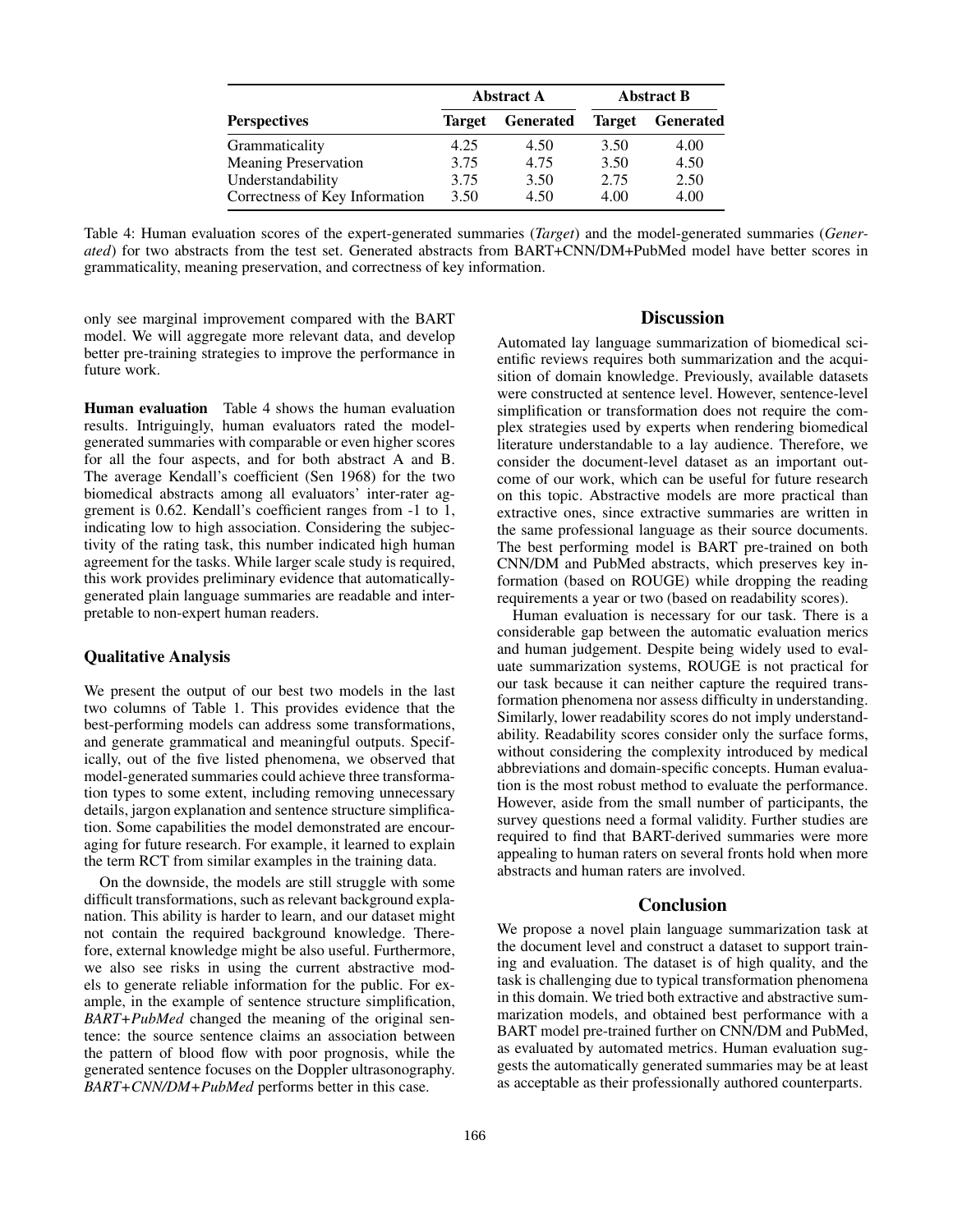|                                |        | <b>Abstract A</b> | <b>Abstract B</b> |                  |  |
|--------------------------------|--------|-------------------|-------------------|------------------|--|
| <b>Perspectives</b>            | Target | <b>Generated</b>  | <b>Target</b>     | <b>Generated</b> |  |
| Grammaticality                 | 4.25   | 4.50              | 3.50              | 4.00             |  |
| <b>Meaning Preservation</b>    | 3.75   | 4.75              | 3.50              | 4.50             |  |
| Understandability              | 3.75   | 3.50              | 2.75              | 2.50             |  |
| Correctness of Key Information | 3.50   | 4.50              | 4.00              | 4.00             |  |

Table 4: Human evaluation scores of the expert-generated summaries (*Target*) and the model-generated summaries (*Generated*) for two abstracts from the test set. Generated abstracts from BART+CNN/DM+PubMed model have better scores in grammaticality, meaning preservation, and correctness of key information.

only see marginal improvement compared with the BART model. We will aggregate more relevant data, and develop better pre-training strategies to improve the performance in future work.

Human evaluation Table 4 shows the human evaluation results. Intriguingly, human evaluators rated the modelgenerated summaries with comparable or even higher scores for all the four aspects, and for both abstract A and B. The average Kendall's coefficient (Sen 1968) for the two biomedical abstracts among all evaluators' inter-rater aggrement is 0.62. Kendall's coefficient ranges from -1 to 1, indicating low to high association. Considering the subjectivity of the rating task, this number indicated high human agreement for the tasks. While larger scale study is required, this work provides preliminary evidence that automaticallygenerated plain language summaries are readable and interpretable to non-expert human readers.

### Qualitative Analysis

We present the output of our best two models in the last two columns of Table 1. This provides evidence that the best-performing models can address some transformations, and generate grammatical and meaningful outputs. Specifically, out of the five listed phenomena, we observed that model-generated summaries could achieve three transformation types to some extent, including removing unnecessary details, jargon explanation and sentence structure simplification. Some capabilities the model demonstrated are encouraging for future research. For example, it learned to explain the term RCT from similar examples in the training data.

On the downside, the models are still struggle with some difficult transformations, such as relevant background explanation. This ability is harder to learn, and our dataset might not contain the required background knowledge. Therefore, external knowledge might be also useful. Furthermore, we also see risks in using the current abstractive models to generate reliable information for the public. For example, in the example of sentence structure simplification, *BART+PubMed* changed the meaning of the original sentence: the source sentence claims an association between the pattern of blood flow with poor prognosis, while the generated sentence focuses on the Doppler ultrasonography. *BART+CNN/DM+PubMed* performs better in this case.

## Discussion

Automated lay language summarization of biomedical scientific reviews requires both summarization and the acquisition of domain knowledge. Previously, available datasets were constructed at sentence level. However, sentence-level simplification or transformation does not require the complex strategies used by experts when rendering biomedical literature understandable to a lay audience. Therefore, we consider the document-level dataset as an important outcome of our work, which can be useful for future research on this topic. Abstractive models are more practical than extractive ones, since extractive summaries are written in the same professional language as their source documents. The best performing model is BART pre-trained on both CNN/DM and PubMed abstracts, which preserves key information (based on ROUGE) while dropping the reading requirements a year or two (based on readability scores).

Human evaluation is necessary for our task. There is a considerable gap between the automatic evaluation merics and human judgement. Despite being widely used to evaluate summarization systems, ROUGE is not practical for our task because it can neither capture the required transformation phenomena nor assess difficulty in understanding. Similarly, lower readability scores do not imply understandability. Readability scores consider only the surface forms, without considering the complexity introduced by medical abbreviations and domain-specific concepts. Human evaluation is the most robust method to evaluate the performance. However, aside from the small number of participants, the survey questions need a formal validity. Further studies are required to find that BART-derived summaries were more appealing to human raters on several fronts hold when more abstracts and human raters are involved.

### Conclusion

We propose a novel plain language summarization task at the document level and construct a dataset to support training and evaluation. The dataset is of high quality, and the task is challenging due to typical transformation phenomena in this domain. We tried both extractive and abstractive summarization models, and obtained best performance with a BART model pre-trained further on CNN/DM and PubMed, as evaluated by automated metrics. Human evaluation suggests the automatically generated summaries may be at least as acceptable as their professionally authored counterparts.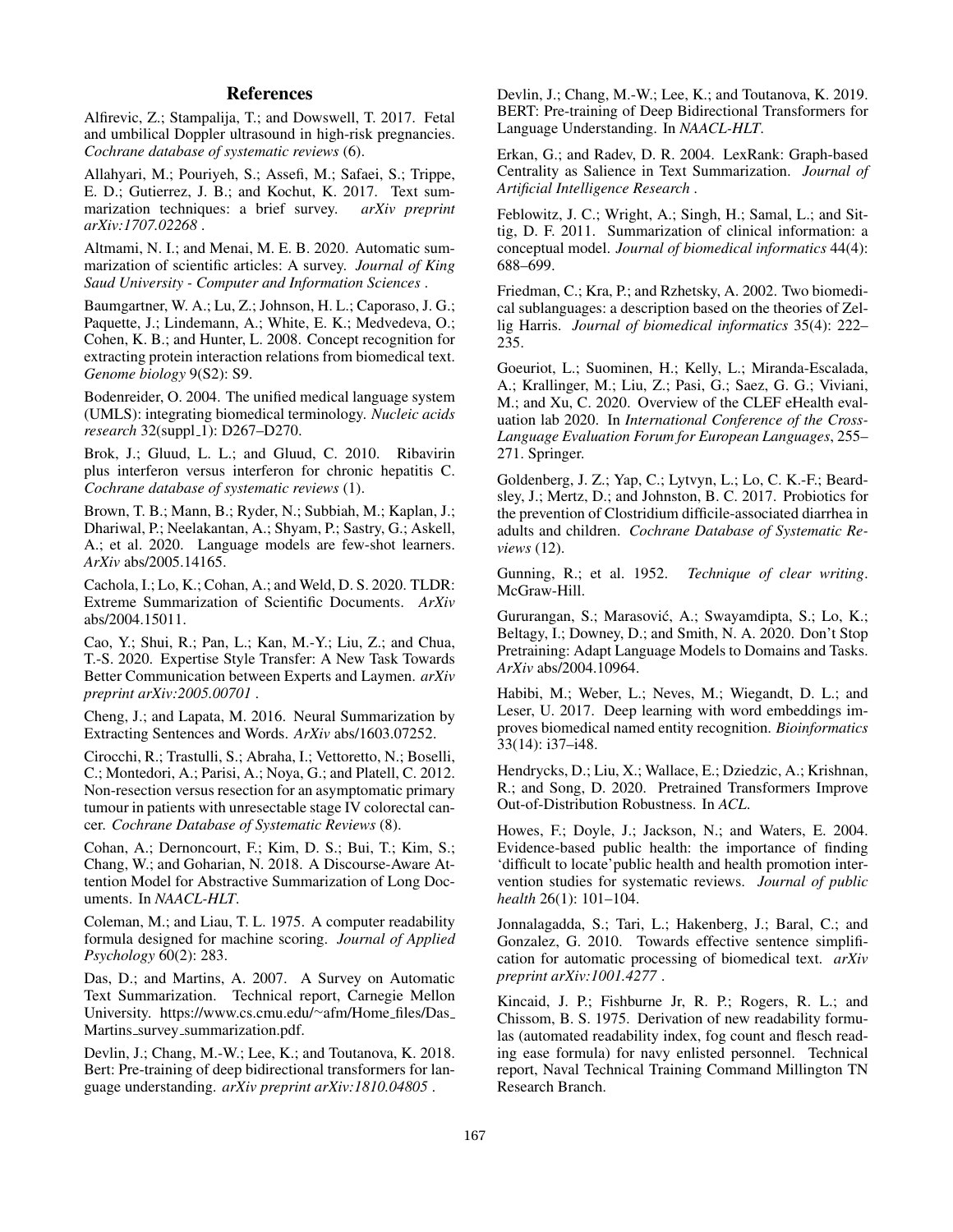# **References**

Alfirevic, Z.; Stampalija, T.; and Dowswell, T. 2017. Fetal and umbilical Doppler ultrasound in high-risk pregnancies. *Cochrane database of systematic reviews* (6).

Allahyari, M.; Pouriyeh, S.; Assefi, M.; Safaei, S.; Trippe, E. D.; Gutierrez, J. B.; and Kochut, K. 2017. Text summarization techniques: a brief survey. *arXiv preprint arXiv:1707.02268* .

Altmami, N. I.; and Menai, M. E. B. 2020. Automatic summarization of scientific articles: A survey. *Journal of King Saud University - Computer and Information Sciences* .

Baumgartner, W. A.; Lu, Z.; Johnson, H. L.; Caporaso, J. G.; Paquette, J.; Lindemann, A.; White, E. K.; Medvedeva, O.; Cohen, K. B.; and Hunter, L. 2008. Concept recognition for extracting protein interaction relations from biomedical text. *Genome biology* 9(S2): S9.

Bodenreider, O. 2004. The unified medical language system (UMLS): integrating biomedical terminology. *Nucleic acids research* 32(suppl\_1): D267-D270.

Brok, J.; Gluud, L. L.; and Gluud, C. 2010. Ribavirin plus interferon versus interferon for chronic hepatitis C. *Cochrane database of systematic reviews* (1).

Brown, T. B.; Mann, B.; Ryder, N.; Subbiah, M.; Kaplan, J.; Dhariwal, P.; Neelakantan, A.; Shyam, P.; Sastry, G.; Askell, A.; et al. 2020. Language models are few-shot learners. *ArXiv* abs/2005.14165.

Cachola, I.; Lo, K.; Cohan, A.; and Weld, D. S. 2020. TLDR: Extreme Summarization of Scientific Documents. *ArXiv* abs/2004.15011.

Cao, Y.; Shui, R.; Pan, L.; Kan, M.-Y.; Liu, Z.; and Chua, T.-S. 2020. Expertise Style Transfer: A New Task Towards Better Communication between Experts and Laymen. *arXiv preprint arXiv:2005.00701* .

Cheng, J.; and Lapata, M. 2016. Neural Summarization by Extracting Sentences and Words. *ArXiv* abs/1603.07252.

Cirocchi, R.; Trastulli, S.; Abraha, I.; Vettoretto, N.; Boselli, C.; Montedori, A.; Parisi, A.; Noya, G.; and Platell, C. 2012. Non-resection versus resection for an asymptomatic primary tumour in patients with unresectable stage IV colorectal cancer. *Cochrane Database of Systematic Reviews* (8).

Cohan, A.; Dernoncourt, F.; Kim, D. S.; Bui, T.; Kim, S.; Chang, W.; and Goharian, N. 2018. A Discourse-Aware Attention Model for Abstractive Summarization of Long Documents. In *NAACL-HLT*.

Coleman, M.; and Liau, T. L. 1975. A computer readability formula designed for machine scoring. *Journal of Applied Psychology* 60(2): 283.

Das, D.; and Martins, A. 2007. A Survey on Automatic Text Summarization. Technical report, Carnegie Mellon University. https://www.cs.cmu.edu/<sup>∼</sup>afm/Home files/Das Martins\_survey\_summarization.pdf.

Devlin, J.; Chang, M.-W.; Lee, K.; and Toutanova, K. 2018. Bert: Pre-training of deep bidirectional transformers for language understanding. *arXiv preprint arXiv:1810.04805* .

Devlin, J.; Chang, M.-W.; Lee, K.; and Toutanova, K. 2019. BERT: Pre-training of Deep Bidirectional Transformers for Language Understanding. In *NAACL-HLT*.

Erkan, G.; and Radev, D. R. 2004. LexRank: Graph-based Centrality as Salience in Text Summarization. *Journal of Artificial Intelligence Research* .

Feblowitz, J. C.; Wright, A.; Singh, H.; Samal, L.; and Sittig, D. F. 2011. Summarization of clinical information: a conceptual model. *Journal of biomedical informatics* 44(4): 688–699.

Friedman, C.; Kra, P.; and Rzhetsky, A. 2002. Two biomedical sublanguages: a description based on the theories of Zellig Harris. *Journal of biomedical informatics* 35(4): 222– 235.

Goeuriot, L.; Suominen, H.; Kelly, L.; Miranda-Escalada, A.; Krallinger, M.; Liu, Z.; Pasi, G.; Saez, G. G.; Viviani, M.; and Xu, C. 2020. Overview of the CLEF eHealth evaluation lab 2020. In *International Conference of the Cross-Language Evaluation Forum for European Languages*, 255– 271. Springer.

Goldenberg, J. Z.; Yap, C.; Lytvyn, L.; Lo, C. K.-F.; Beardsley, J.; Mertz, D.; and Johnston, B. C. 2017. Probiotics for the prevention of Clostridium difficile-associated diarrhea in adults and children. *Cochrane Database of Systematic Reviews* (12).

Gunning, R.; et al. 1952. *Technique of clear writing*. McGraw-Hill.

Gururangan, S.; Marasovic, A.; Swayamdipta, S.; Lo, K.; ´ Beltagy, I.; Downey, D.; and Smith, N. A. 2020. Don't Stop Pretraining: Adapt Language Models to Domains and Tasks. *ArXiv* abs/2004.10964.

Habibi, M.; Weber, L.; Neves, M.; Wiegandt, D. L.; and Leser, U. 2017. Deep learning with word embeddings improves biomedical named entity recognition. *Bioinformatics* 33(14): i37–i48.

Hendrycks, D.; Liu, X.; Wallace, E.; Dziedzic, A.; Krishnan, R.; and Song, D. 2020. Pretrained Transformers Improve Out-of-Distribution Robustness. In *ACL*.

Howes, F.; Doyle, J.; Jackson, N.; and Waters, E. 2004. Evidence-based public health: the importance of finding 'difficult to locate'public health and health promotion intervention studies for systematic reviews. *Journal of public health* 26(1): 101–104.

Jonnalagadda, S.; Tari, L.; Hakenberg, J.; Baral, C.; and Gonzalez, G. 2010. Towards effective sentence simplification for automatic processing of biomedical text. *arXiv preprint arXiv:1001.4277* .

Kincaid, J. P.; Fishburne Jr, R. P.; Rogers, R. L.; and Chissom, B. S. 1975. Derivation of new readability formulas (automated readability index, fog count and flesch reading ease formula) for navy enlisted personnel. Technical report, Naval Technical Training Command Millington TN Research Branch.